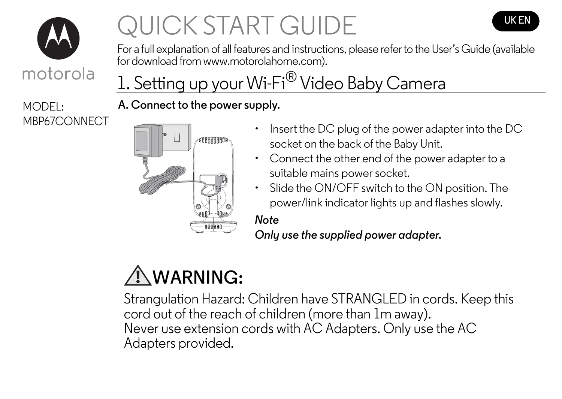

# **QUICK START GUIDE THE LIGHT CONTROL**



For a full explanation of all features and instructions, please refer to the User's Guide (available for download from www.motorolahome.com).

# 1. Setting up your Wi-Fi<sup>®</sup> Video Baby Camera

## **A. Connect to the power supply.**



- MBP67CONNECT Insert the DC plug of the power adapter into the DC socket on the back of the Baby Unit.
	- Connect the other end of the power adapter to a suitable mains power socket.
	- Slide the ON/OFF switch to the ON position. The power/link indicator lights up and flashes slowly.

## *Note*

*Only use the supplied power adapter.*

# **WARNING:**

Strangulation Hazard: Children have STRANGLED in cords. Keep this cord out of the reach of children (more than 1m away). Never use extension cords with AC Adapters. Only use the AC Adapters provided.

MODEL: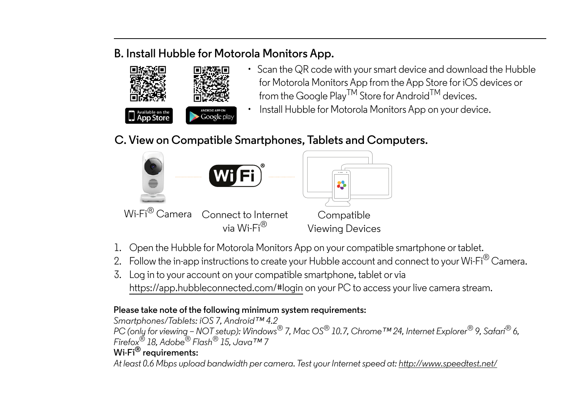### **B. Install Hubble for Motorola Monitors App.**



- Scan the QR code with your smart device and download the Hubble for Motorola Monitors App from the App Store for iOS devices or from the Google Play<sup>TM</sup> Store for Android<sup>TM</sup> devices.
- Install Hubble for Motorola Monitors App on your device.

## **C. View on Compatible Smartphones, Tablets and Computers.**



- 1. Open the Hubble for Motorola Monitors App on your compatible smartphone or tablet.
- 2. Follow the in-app instructions to create your Hubble account and connect to your Wi-Fi $^\circledR$  Camera.
- 3. Log in to your account on your compatible smartphone, tablet or via https://app.hubbleconnected.com/#login on your PC to access your live camera stream.

#### **Please take note of the following minimum system requirements:**

*Smartphones/Tablets: iOS 7, Android™ 4.2 PC (only for viewing – NOT setup): Windows® 7, Mac OS® 10.7, Chrome™ 24, Internet Explorer® 9, Safari® 6, Firefox® 18, Adobe® Flash® 15, Java™ 7* **Wi-Fi® requirements:**

*At least 0.6 Mbps upload bandwidth per camera. Test your Internet speed at: http://www.speedtest.net/*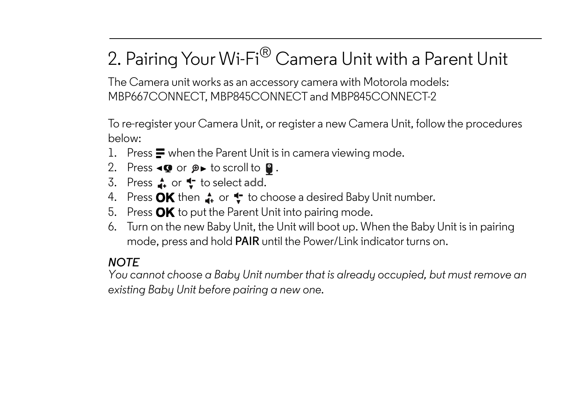## 2. Pairing Your Wi-Fi® Camera Unit with a Parent Unit

The Camera unit works as an accessory camera with Motorola models: MBP667CONNECT, MBP845CONNECT and MBP845CONNECT-2

To re-register your Camera Unit, or register a new Camera Unit, follow the procedures M below:

- 1. Press  $\blacksquare$  when the Parent Unit is in camera viewing mode.
- 2. Press  $\triangleleft Q$  or  $\beta \triangleright$  to scroll to  $Q$ .
- 3. Press **f** or **t** to select add.
- 4. Press OK then  $\Lambda$  or  $\uparrow$  to choose a desired Baby Unit number.
- 5. Press  $\mathbf{OK}$  to put the Parent Unit into pairing mode.
- 6. Turn on the new Baby Unit, the Unit will boot up. When the Baby Unit is in pairing mode, press and hold **PAIR** until the Power/Link indicator turns on.

## *NOTE*

*You cannot choose a Baby Unit number that is already occupied, but must remove an existing Baby Unit before pairing a new one.*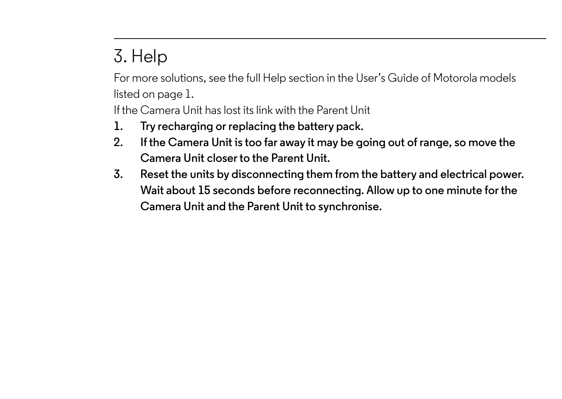## 3. Help

For more solutions, see the full Help section in the User's Guide of Motorola models listed on page 1.

If the Camera Unit has lost its link with the Parent Unit

- **1. Try recharging or replacing the battery pack.**
- **2. If the Camera Unit is too far away it may be going out of range, so move the Camera Unit closer to the Parent Unit.**
- **3. Reset the units by disconnecting them from the battery and electrical power. Wait about 15 seconds before reconnecting. Allow up to one minute for the Camera Unit and the Parent Unit to synchronise.**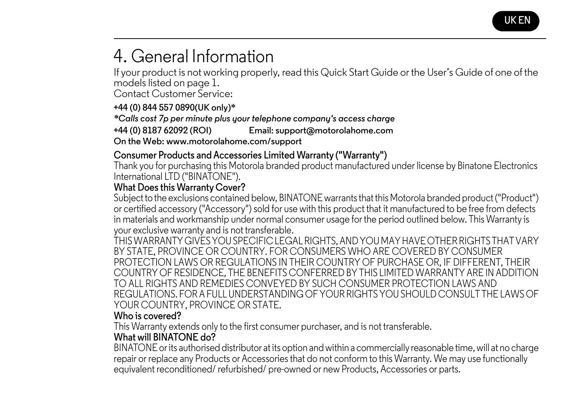

## 4. General Information

If your product is not working properly, read this Quick Start Guide or the User's Guide of one of the models listed on page 1.

Contact Customer Service:

#### **+44 (0) 844 557 0890(UK only)\***

*\*Calls cost 7p per minute plus your telephone company's access charge* 

**+44 (0) 8187 62092 (ROI) Email: support@motorolahome.com** 

**On the Web: www.motorolahome.com/support**

#### **Consumer Products and Accessories Limited Warranty ("Warranty")**

Thank you for purchasing this Motorola branded product manufactured under license by Binatone Electronics International LTD ("BINATONE").

#### **What Does this Warranty Cover?**

Subject to the exclusions contained below, BINATONE warrants that this Motorola branded product ("Product") or certified accessory ("Accessory") sold for use with this product that it manufactured to be free from defects in materials and workmanship under normal consumer usage for the period outlined below. This Warranty is your exclusive warranty and is not transferable.

THIS WARRANTY GIVES YOU SPECIFIC LEGAL RIGHTS, AND YOU MAY HAVE OTHER RIGHTS THAT VARY BY STATE, PROVINCE OR COUNTRY. FOR CONSUMERS WHO ARE COVERED BY CONSUMER PROTECTION LAWS OR REGULATIONS IN THEIR COUNTRY OF PURCHASE OR, IF DIFFERENT, THEIR COUNTRY OF RESIDENCE, THE BENEFITS CONFERRED BY THIS LIMITED WARRANTY ARE IN ADDITION TO ALL RIGHTS AND REMEDIES CONVEYED BY SUCH CONSUMER PROTECTION LAWS AND REGULATIONS. FOR A FULL UNDERSTANDING OF YOUR RIGHTS YOU SHOULD CONSULT THE LAWS OF YOUR COUNTRY, PROVINCE OR STATE.

#### **Who is covered?**

This Warranty extends only to the first consumer purchaser, and is not transferable.

#### **What will BINATONE do?**

BINATONE or its authorised distributor at its option and within a commercially reasonable time, will at no charge repair or replace any Products or Accessories that do not conform to this Warranty. We may use functionally equivalent reconditioned/ refurbished/ pre-owned or new Products, Accessories or parts.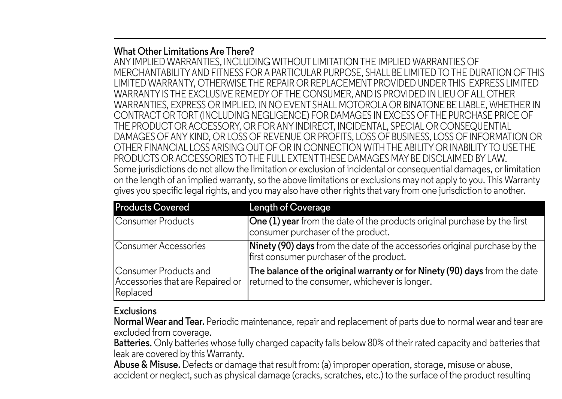#### **What Other Limitations Are There?**

ANY IMPLIED WARRANTIES, INCLUDING WITHOUT LIMITATION THE IMPLIED WARRANTIES OF MERCHANTABILITY AND FITNESS FOR A PARTICULAR PURPOSE, SHALL BE LIMITED TO THE DURATION OF THIS LIMITED WARRANTY, OTHERWISE THE REPAIR OR REPLACEMENT PROVIDED UNDER THIS EXPRESS LIMITED WARRANTY IS THE EXCLUSIVE REMEDY OF THE CONSUMER, AND IS PROVIDED IN LIEU OF ALL OTHER WARRANTIES, EXPRESS OR IMPLIED. IN NO EVENT SHALL MOTOROLA OR BINATONE BE LIABLE, WHETHER IN CONTRACT OR TORT (INCLUDING NEGLIGENCE) FOR DAMAGES IN EXCESS OF THE PURCHASE PRICE OF THE PRODUCT OR ACCESSORY, OR FOR ANY INDIRECT, INCIDENTAL, SPECIAL OR CONSEQUENTIAL DAMAGES OF ANY KIND, OR LOSS OF REVENUE OR PROFITS, LOSS OF BUSINESS, LOSS OF INFORMATION OR OTHER FINANCIAL LOSS ARISING OUT OF OR IN CONNECTION WITH THE ABILITY OR INABILITY TO USE THE PRODUCTS OR ACCESSORIES TO THE FULL EXTENT THESE DAMAGES MAY BE DISCLAIMED BY LAW. Some jurisdictions do not allow the limitation or exclusion of incidental or consequential damages, or limitation on the length of an implied warranty, so the above limitations or exclusions may not apply to you. This Warranty gives you specific legal rights, and you may also have other rights that vary from one jurisdiction to another.

| <b>Products Covered</b>                                               | <b>Length of Coverage</b>                                                                                                    |
|-----------------------------------------------------------------------|------------------------------------------------------------------------------------------------------------------------------|
| Consumer Products                                                     | One (1) year from the date of the products original purchase by the first<br>consumer purchaser of the product.              |
| Consumer Accessories                                                  | Ninety (90) days from the date of the accessories original purchase by the<br>first consumer purchaser of the product.       |
| Consumer Products and<br>Accessories that are Repaired or<br>Replaced | The balance of the original warranty or for Ninety (90) days from the date<br>returned to the consumer, whichever is longer. |

#### **Exclusions**

**Normal Wear and Tear.** Periodic maintenance, repair and replacement of parts due to normal wear and tear are excluded from coverage.

**Batteries.** Only batteries whose fully charged capacity falls below 80% of their rated capacity and batteries that leak are covered by this Warranty.

**Abuse & Misuse.** Defects or damage that result from: (a) improper operation, storage, misuse or abuse, accident or neglect, such as physical damage (cracks, scratches, etc.) to the surface of the product resulting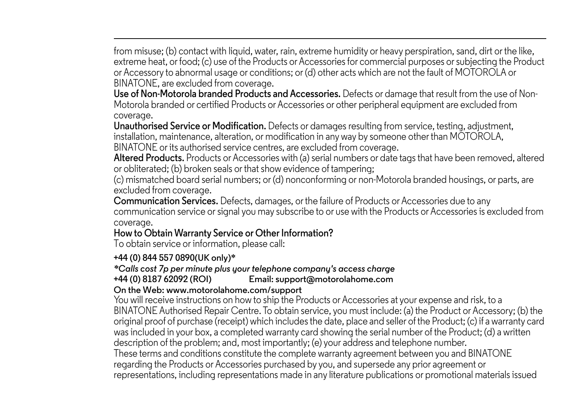from misuse; (b) contact with liquid, water, rain, extreme humidity or heavy perspiration, sand, dirt or the like, extreme heat, or food; (c) use of the Products or Accessories for commercial purposes or subjecting the Product or Accessory to abnormal usage or conditions; or (d) other acts which are not the fault of MOTOROLA or BINATONE, are excluded from coverage.

**Use of Non-Motorola branded Products and Accessories.** Defects or damage that result from the use of Non-Motorola branded or certified Products or Accessories or other peripheral equipment are excluded from coverage.

**Unauthorised Service or Modification.** Defects or damages resulting from service, testing, adjustment, installation, maintenance, alteration, or modification in any way by someone other than MOTOROLA, BINATONE or its authorised service centres, are excluded from coverage.

**Altered Products.** Products or Accessories with (a) serial numbers or date tags that have been removed, altered or obliterated; (b) broken seals or that show evidence of tampering;

(c) mismatched board serial numbers; or (d) nonconforming or non-Motorola branded housings, or parts, are excluded from coverage.

**Communication Services.** Defects, damages, or the failure of Products or Accessories due to any communication service or signal you may subscribe to or use with the Products or Accessories is excluded from coverage.

#### **How to Obtain Warranty Service or Other Information?**

To obtain service or information, please call:

#### **+44 (0) 844 557 0890(UK only)\***

## *\*Calls cost 7p per minute plus your telephone company's access charge*

### $Email: support@motorolahome.com$

#### **On the Web: www.motorolahome.com/support**

You will receive instructions on how to ship the Products or Accessories at your expense and risk, to a BINATONE Authorised Repair Centre. To obtain service, you must include: (a) the Product or Accessory; (b) the original proof of purchase (receipt) which includes the date, place and seller of the Product; (c) if a warranty card was included in your box, a completed warranty card showing the serial number of the Product; (d) a written description of the problem; and, most importantly; (e) your address and telephone number. These terms and conditions constitute the complete warranty agreement between you and BINATONE regarding the Products or Accessories purchased by you, and supersede any prior agreement or representations, including representations made in any literature publications or promotional materials issued